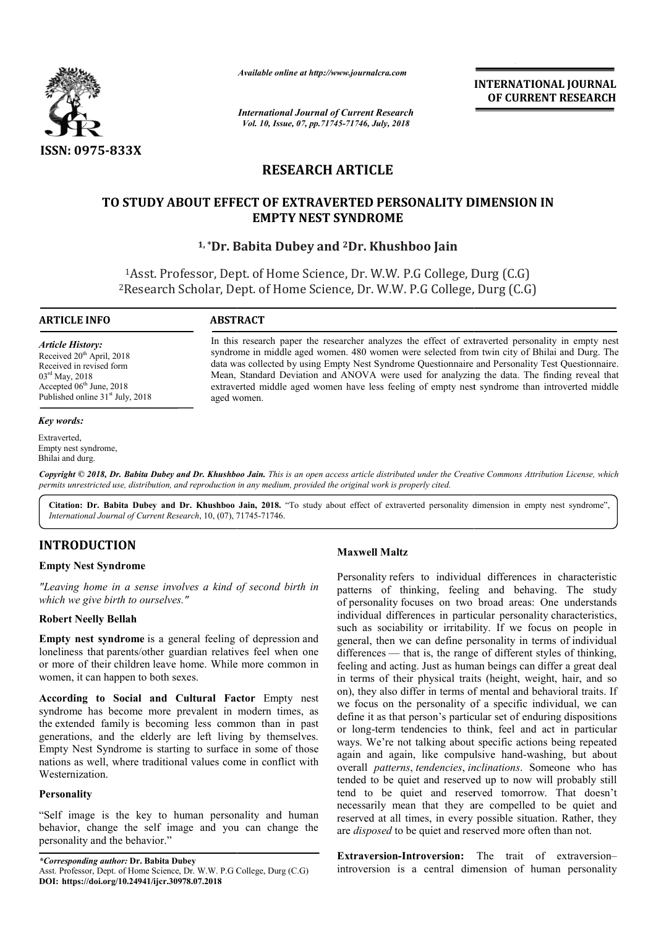

*Available online at http://www.journalcra.com*

*International Journal of Current Research Vol. 10, Issue, 07, pp.71745-71746, July, 2018*

**INTERNATIONAL JOURNAL OF CURRENT RESEARCH**

# **RESEARCH ARTICLE**

# **TO STUDY ABOUT EFFECT OF EXTRAVERTED PERSONALITY DIMENSION IN STUDY ABOUT EMPTY NEST SYNDROME**

**1, \*Dr. Babita Dubey Dr. and 2Dr. Khushboo Jain**

<sup>1</sup>Asst. Professor, Dept. of Home Science, Dr. W.W. P.G College, Durg (C.G) <sup>1</sup>Asst. Professor, Dept. of Home Science, Dr. W.W. P.G College, Durg (C.G)<br><sup>2</sup>Research Scholar, Dept. of Home Science, Dr. W.W. P.G College, Durg (C.G)

# **ARTICLE INFO ABSTRACT**

*Article History:* Received 20<sup>th</sup> April, 2018 Received in revised form 03rd May, 2018 Accepted 06<sup>th</sup> June, 2018 Published online 31<sup>st</sup> July, 2018

In this research paper the researcher analyzes the effect of extraverted personality in empty nest syndrome in middle aged women. 480 women were selected from twin city of Bhilai and Durg. The data was collected by using Empty Nest Syndrome Questionnaire and Personality Test Questionnaire. Mean, Standard Deviation and ANOVA were used for analyzing the data. The finding reveal that extraverted middle aged women have less feeling of empty nest syndrome than introverted middle aged women. In this research paper the researcher analyzes the effect of extraverted personality in empty nest syndrome in middle aged women. 480 women were selected from twin city of Bhilai and Durg. The data was collected by using E

*Key words:*

Extraverted, Empty nest syndrome, Bhilai and durg.

Copyright © 2018, Dr. Babita Dubey and Dr. Khushboo Jain. This is an open access article distributed under the Creative Commons Attribution License, which permits unrestricted use, distribution, and reproduction in any medium, provided the original work is properly cited.

Citation: Dr. Babita Dubey and Dr. Khushboo Jain, 2018. "To study about effect of extraverted personality dimension in empty nest syndrome", International Journal of Current Research, 10, (07), 71745-71746.

# **INTRODUCTION**

## **Empty Nest Syndrome**

*"Leaving home in a sense involves a kind of second birth in which we give birth to ourselves."*

## **Robert Neelly Bellah**

**Empty nest syndrome** is a general feeling of depression and loneliness that parents/other guardian relatives feel when one or more of their children leave home. While more common in women, it can happen to both sexes.

**According to Social and Cultural Factor** Empty nest syndrome has become more prevalent in modern times, as the extended family is becoming less common than in past generations, and the elderly are left living by themselves. Empty Nest Syndrome is starting to surface in some of those nations as well, where traditional values come in conflict with Westernization. Maxwell Maltz<br> **Example 18 Altions Altions Altions Altions Altions Altions Christian Input Next Syndrome**<br> *Exaving home in a sense involves a kind of second birth in*<br> *Maxwell Maltz*<br> *Altions the give birth to ourselves* 

## **Personality**

"Self image is the key to human personality and human behavior, change the self image and you can change the personality and the behavior."

*\*Corresponding author:* **Dr. Babita Dubey**  Asst. Professor, Dept. of Home Science, Dr. W.W. P.G College, Durg (C.G) **DOI: https://doi.org/10.24941/ijcr.30978.07.2018**

Personality refers to individual differences in characteristic patterns of thinking, feeling and behaving. The study of personality focuses on two broad areas: One understands individual differences in particular personality characteristics. such as sociability or irritability. If we focus on people in general, then we can define personality in terms of individual differences — that is, the range of different styles of thinking, feeling and acting. Just as human beings can differ a great deal in terms of their physical traits (height, weight, hair, and so on), they also differ in terms of mental and behavioral traits. If we focus on the personality of a specific individual, we can define it as that person's particular set of enduring dispositions or long-term tendencies to think, feel and act in particular ways. We're not talking about specific actions being repeated again and again, like compulsive hand-washing, but about overall *patterns*, *tendencies*, *inclinations* . Someone who has tended to be quiet and reserved up to now will probably still tend to be quiet and reserved tomorrow. That doesn't necessarily mean that they are compelled to be quiet and reserved at all times, in every possible situation. Rather, they tended to be quiet and reserved up to now will probably still<br>tend to be quiet and reserved tomorrow. That doesn't<br>necessarily mean that they are compelled to be quiet and<br>reserved at all times, in every possible situation refers to individual differences in characteristic f thinking, feeling and behaving. The study ity focuses on two broad areas: One understands differences in particular personality characteristics, differences — that is, the range of different styles of thinking, feeling and acting. Just as human beings can differ a great deal in terms of their physical traits (height, weight, hair, and so on), they also differ in te g-term tendencies to think, feel and act in particular We're not talking about specific actions being repeated and again, like compulsive hand-washing, but about

**Extraversion-Introversion:** The trait of extraversionintroversion is a central dimension of human personality